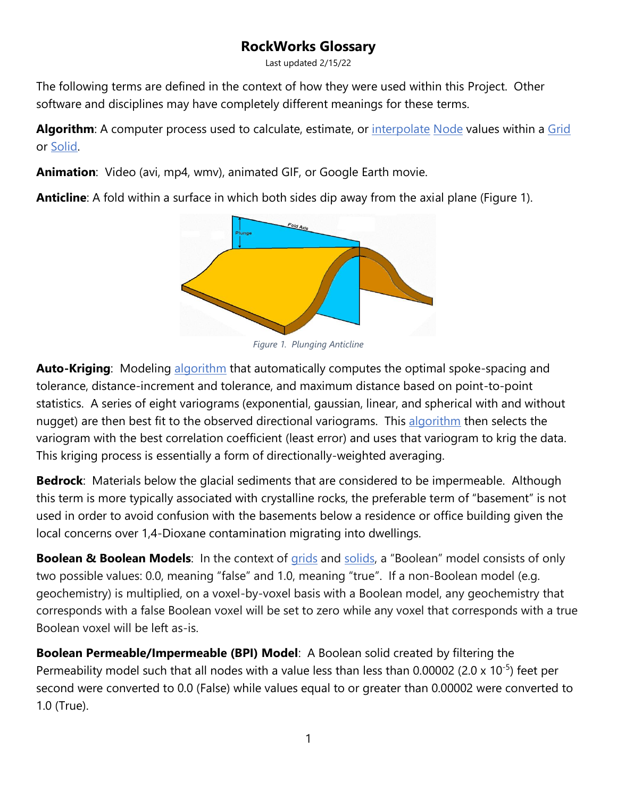## **RockWorks Glossary**

Last updated 2/15/22

<span id="page-0-1"></span>The following terms are defined in the context of how they were used within this Project. Other software and disciplines may have completely different meanings for these terms.

Algorithm: A computer process used to calculate, estimate, or [interpolate](#page-2-0) [Node](#page-6-0) values within a [Grid](#page-1-0) or [Solid.](#page-7-0)

**Animation**: Video (avi, mp4, wmv), animated GIF, or Google Earth movie.

**Anticline**: A fold within a surface in which both sides dip away from the axial plane [\(Figure 1\)](#page-0-0).

<span id="page-0-0"></span>

**Auto-Kriging**: Modeling [algorithm](#page-0-1) that automatically computes the optimal spoke-spacing and tolerance, distance-increment and tolerance, and maximum distance based on point-to-point statistics. A series of eight variograms (exponential, gaussian, linear, and spherical with and without nugget) are then best fit to the observed directional variograms. This [algorithm](#page-0-1) then selects the variogram with the best correlation coefficient (least error) and uses that variogram to krig the data. This kriging process is essentially a form of directionally-weighted averaging.

**Bedrock**: Materials below the glacial sediments that are considered to be impermeable. Although this term is more typically associated with crystalline rocks, the preferable term of "basement" is not used in order to avoid confusion with the basements below a residence or office building given the local concerns over 1,4-Dioxane contamination migrating into dwellings.

<span id="page-0-2"></span>**Boolean & Boolean Models**: In the context of [grids](#page-1-0) and [solids](#page-7-0), a "Boolean" model consists of only two possible values: 0.0, meaning "false" and 1.0, meaning "true". If a non-Boolean model (e.g. geochemistry) is multiplied, on a voxel-by-voxel basis with a Boolean model, any geochemistry that corresponds with a false Boolean voxel will be set to zero while any voxel that corresponds with a true Boolean voxel will be left as-is.

**Boolean Permeable/Impermeable (BPI) Model**: A Boolean solid created by filtering the Permeability model such that all nodes with a value less than less than  $0.00002$  (2.0 x 10<sup>-5</sup>) feet per second were converted to 0.0 (False) while values equal to or greater than 0.00002 were converted to 1.0 (True).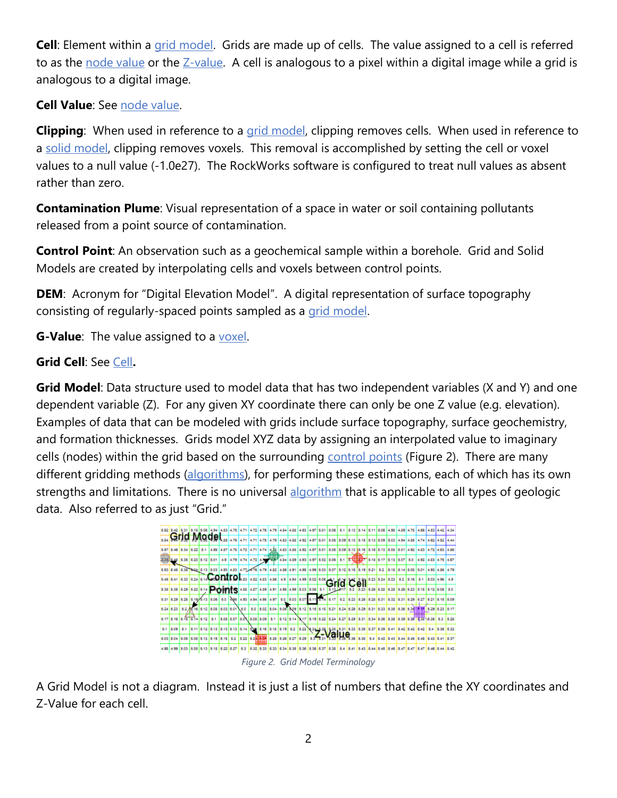<span id="page-1-0"></span>**Cell**: Element within a [grid model.](#page-1-1) Grids are made up of cells. The value assigned to a cell is referred to as the [node value](#page-6-0) or the [Z-value.](#page-9-0) A cell is analogous to a pixel within a digital image while a grid is analogous to a digital image.

**Cell Value**: See [node value.](#page-7-1)

<span id="page-1-2"></span>**Clipping**: When used in reference to a [grid model,](#page-1-1) clipping removes cells. When used in reference to a [solid model,](#page-8-0) clipping removes voxels. This removal is accomplished by setting the cell or voxel values to a null value (-1.0e27). The RockWorks software is configured to treat null values as absent rather than zero.

**Contamination Plume**: Visual representation of a space in water or soil containing pollutants released from a point source of contamination.

**Control Point:** An observation such as a geochemical sample within a borehole. Grid and Solid Models are created by interpolating cells and voxels between control points.

<span id="page-1-4"></span>**DEM**: Acronym for "Digital Elevation Model". A digital representation of surface topography consisting of regularly-spaced points sampled as a [grid model.](#page-1-1)

**G-Value**: The value assigned to a [voxel.](#page-8-1)

<span id="page-1-1"></span>**Grid Cell**: See [Cell](#page-0-2)**.**

**Grid Model**: Data structure used to model data that has two independent variables (X and Y) and one dependent variable (Z). For any given XY coordinate there can only be one Z value (e.g. elevation). Examples of data that can be modeled with grids include surface topography, surface geochemistry, and formation thicknesses. Grids model XYZ data by assigning an interpolated value to imaginary cells (nodes) within the grid based on the surrounding [control points](#page-1-2) [\(Figure 2\)](#page-1-3). There are many different gridding methods [\(algorithms\)](#page-0-1), for performing these estimations, each of which has its own strengths and limitations. There is no universal [algorithm](#page-0-1) that is applicable to all types of geologic data. Also referred to as just "Grid."



*Figure 2. Grid Model Terminology*

<span id="page-1-3"></span>A Grid Model is not a diagram. Instead it is just a list of numbers that define the XY coordinates and Z-Value for each cell.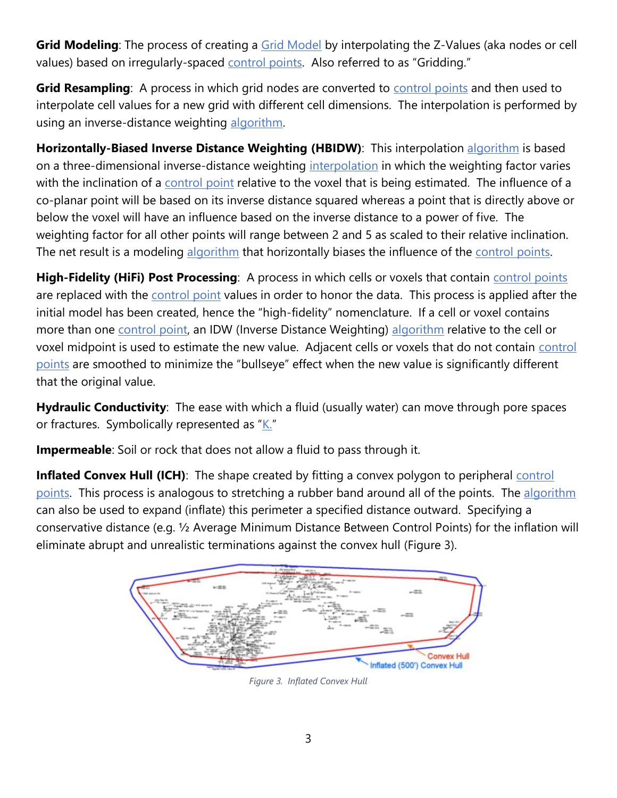**Grid Modeling**: The process of creating a **Grid Model** by interpolating the Z-Values (aka nodes or cell values) based on irregularly-spaced [control points](#page-1-2). Also referred to as "Gridding."

<span id="page-2-0"></span>**Grid Resampling**: A process in which grid nodes are converted to [control points](#page-1-2) and then used to interpolate cell values for a new grid with different cell dimensions. The interpolation is performed by using an inverse-distance weighting [algorithm.](#page-0-1)

**Horizontally-Biased Inverse Distance Weighting (HBIDW)**: This interpolation [algorithm](#page-0-1) is based on a three-dimensional inverse-distance weighting [interpolation](#page-2-0) in which the weighting factor varies with the inclination of a [control point](#page-1-2) relative to the voxel that is being estimated. The influence of a co-planar point will be based on its inverse distance squared whereas a point that is directly above or below the voxel will have an influence based on the inverse distance to a power of five. The weighting factor for all other points will range between 2 and 5 as scaled to their relative inclination. The net result is a modeling [algorithm](#page-0-1) that horizontally biases the influence of the [control points.](#page-1-2)

**High-Fidelity (HiFi) Post Processing**: A process in which cells or voxels that contain *control points* are replaced with the [control point](#page-1-2) values in order to honor the data. This process is applied after the initial model has been created, hence the "high-fidelity" nomenclature. If a cell or voxel contains more than one [control point,](#page-1-2) an IDW (Inverse Distance Weighting) [algorithm](#page-0-1) relative to the cell or voxel midpoint is used to estimate the new value. Adjacent cells or voxels that do not contain control [points](#page-1-2) are smoothed to minimize the "bullseye" effect when the new value is significantly different that the original value.

**Hydraulic Conductivity**: The ease with which a fluid (usually water) can move through pore spaces or fractures. Symbolically represented as " $K$ ."

**Impermeable**: Soil or rock that does not allow a fluid to pass through it.

**Inflated Convex Hull (ICH)**: The shape created by fitting a convex polygon to peripheral **control** [points.](#page-1-2) This process is analogous to stretching a rubber band around all of the points. The [algorithm](#page-0-1) can also be used to expand (inflate) this perimeter a specified distance outward. Specifying a conservative distance (e.g. ½ Average Minimum Distance Between Control Points) for the inflation will eliminate abrupt and unrealistic terminations against the convex hull [\(Figure 3\)](#page-2-1).

<span id="page-2-1"></span>

*Figure 3. Inflated Convex Hull*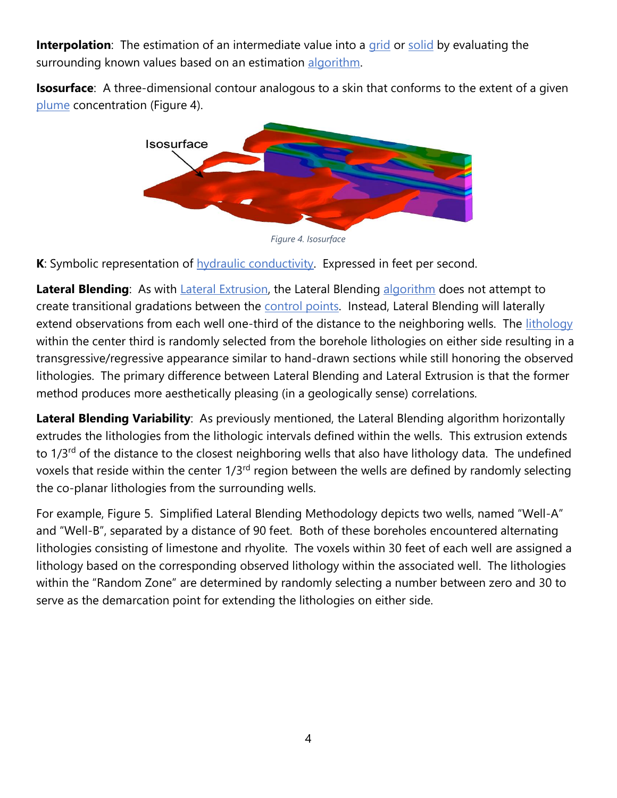**Interpolation**: The estimation of an intermediate value into a [grid](#page-1-1) or [solid](#page-8-0) by evaluating the surrounding known values based on an estimation [algorithm.](#page-0-1)

**Isosurface**: A three-dimensional contour analogous to a skin that conforms to the extent of a given [plume](#page-1-2) concentration [\(Figure 4\)](#page-3-1).



<span id="page-3-0"></span>*Figure 4. Isosurface*

<span id="page-3-1"></span>**K**: Symbolic representation of **hydraulic conductivity**. Expressed in feet per second.

Lateral Blending: As with **Lateral Extrusion**, the Lateral Blending [algorithm](#page-0-1) does not attempt to create transitional gradations between the [control points.](#page-1-2) Instead, Lateral Blending will laterally extend observations from each well one-third of the distance to the neighboring wells. The [lithology](#page-6-1) within the center third is randomly selected from the borehole lithologies on either side resulting in a transgressive/regressive appearance similar to hand-drawn sections while still honoring the observed lithologies. The primary difference between Lateral Blending and Lateral Extrusion is that the former method produces more aesthetically pleasing (in a geologically sense) correlations.

<span id="page-3-2"></span>**Lateral Blending Variability**: As previously mentioned, the Lateral Blending algorithm horizontally extrudes the lithologies from the lithologic intervals defined within the wells. This extrusion extends to 1/3<sup>rd</sup> of the distance to the closest neighboring wells that also have lithology data. The undefined voxels that reside within the center  $1/3<sup>rd</sup>$  region between the wells are defined by randomly selecting the co-planar lithologies from the surrounding wells.

For example, [Figure 5. Simplified Lateral Blending](#page-4-0) Methodology depicts two wells, named "Well-A" and "Well-B", separated by a distance of 90 feet. Both of these boreholes encountered alternating lithologies consisting of limestone and rhyolite. The voxels within 30 feet of each well are assigned a lithology based on the corresponding observed lithology within the associated well. The lithologies within the "Random Zone" are determined by randomly selecting a number between zero and 30 to serve as the demarcation point for extending the lithologies on either side.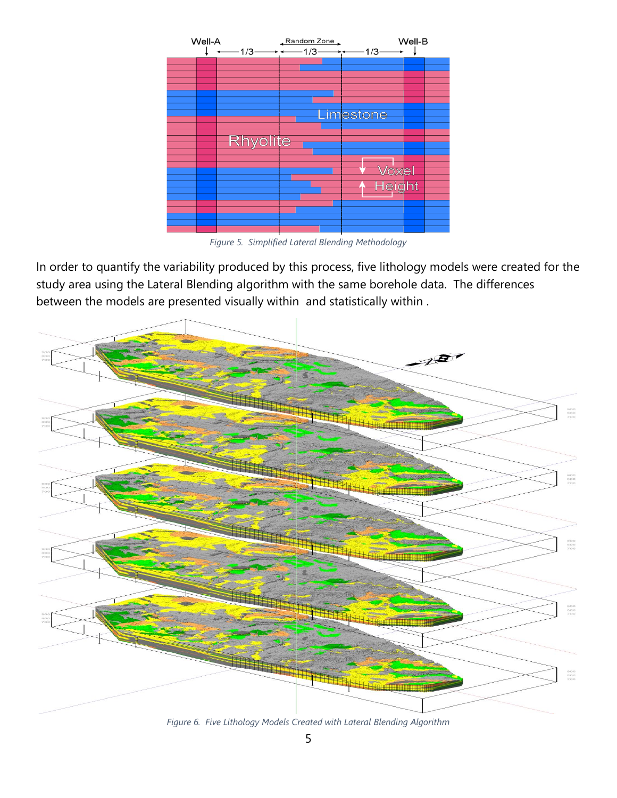

*Figure 5. Simplified Lateral Blending Methodology*

<span id="page-4-0"></span>In order to quantify the variability produced by this process, five lithology models were created for the study area using the Lateral Blending algorithm with the same borehole data. The differences between the models are presented visually within and statistically within .



<span id="page-4-1"></span>*Figure 6. Five Lithology Models Created with Lateral Blending Algorithm*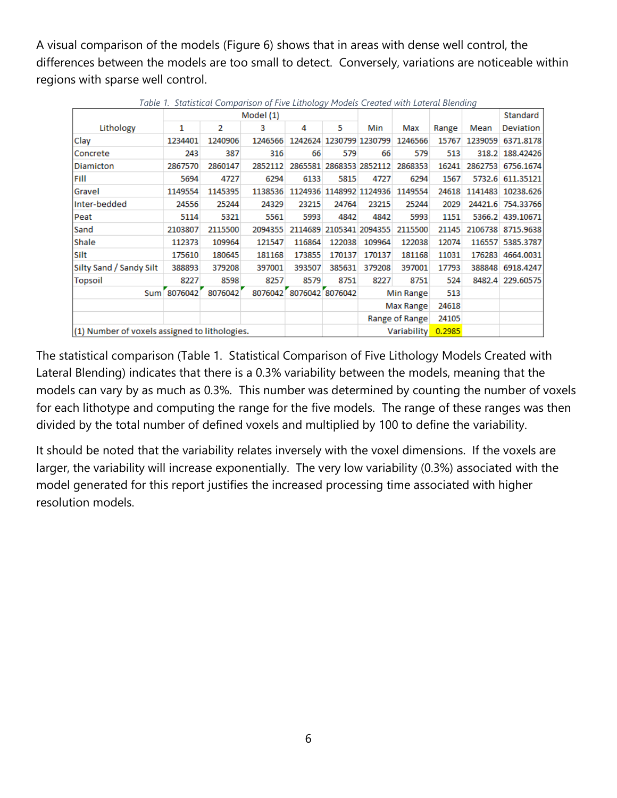A visual comparison of the models [\(Figure 6\)](#page-4-1) shows that in areas with dense well control, the differences between the models are too small to detect. Conversely, variations are noticeable within regions with sparse well control.

<span id="page-5-0"></span>

| rabic II. Statistical Companison of Time Ethnology Froacts Created Mini-Batch at Bienathy |         |         |                         |        |                         |                |         |        |         |                   |
|-------------------------------------------------------------------------------------------|---------|---------|-------------------------|--------|-------------------------|----------------|---------|--------|---------|-------------------|
|                                                                                           |         |         | Model (1)               |        |                         |                |         |        |         | Standard          |
| Lithology                                                                                 | 1       | 2       | 3                       | 4      | 5                       | Min            | Max     | Range  | Mean    | Deviation         |
| Clay                                                                                      | 1234401 | 1240906 | 1246566                 |        | 1242624 1230799 1230799 |                | 1246566 | 15767  | 1239059 | 6371.8178         |
| Concrete                                                                                  | 243     | 387     | 316                     | 66     | 579                     | 66             | 579     | 513    |         | 318.2 188.42426   |
| <b>Diamicton</b>                                                                          | 2867570 | 2860147 | 2852112                 |        | 2865581 2868353 2852112 |                | 2868353 | 16241  | 2862753 | 6756.1674         |
| Fill                                                                                      | 5694    | 4727    | 6294                    | 6133   | 5815                    | 4727           | 6294    | 1567   |         | 5732.6 611.35121  |
| Gravel                                                                                    | 1149554 | 1145395 | 1138536                 |        | 1124936 1148992 1124936 |                | 1149554 | 24618  |         | 1141483 10238.626 |
| Inter-bedded                                                                              | 24556   | 25244   | 24329                   | 23215  | 24764                   | 23215          | 25244   | 2029   |         | 24421.6 754.33766 |
| Peat                                                                                      | 5114    | 5321    | 5561                    | 5993   | 4842                    | 4842           | 5993    | 1151   |         | 5366.2 439.10671  |
| Sand                                                                                      | 2103807 | 2115500 | 2094355                 |        | 2114689 2105341 2094355 |                | 2115500 | 21145  |         | 2106738 8715.9638 |
| Shale                                                                                     | 112373  | 109964  | 121547                  | 116864 | 122038                  | 109964         | 122038  | 12074  |         | 116557 5385.3787  |
| Silt                                                                                      | 175610  | 180645  | 181168                  | 173855 | 170137                  | 170137         | 181168  | 11031  | 176283  | 4664.0031         |
| Silty Sand / Sandy Silt                                                                   | 388893  | 379208  | 397001                  | 393507 | 385631                  | 379208         | 397001  | 17793  | 388848  | 6918.4247         |
| <b>Topsoil</b>                                                                            | 8227    | 8598    | 8257                    | 8579   | 8751                    | 8227           | 8751    | 524    | 8482.4  | 229.60575         |
| 8076042<br>8076042<br>Sum <sup>[</sup>                                                    |         |         | 8076042 8076042 8076042 |        | Min Range               |                | 513     |        |         |                   |
|                                                                                           |         |         |                         |        |                         | Max Range      |         | 24618  |         |                   |
|                                                                                           |         |         |                         |        |                         | Range of Range |         | 24105  |         |                   |
| (1) Number of voxels assigned to lithologies.                                             |         |         |                         |        |                         | Variability    |         | 0.2985 |         |                   |

*Table 1. Statistical Comparison of Five Lithology Models Created with Lateral Blending*

The statistical comparison [\(Table 1. Statistical Comparison of Five Lithology Models Created with](#page-5-0)  [Lateral Blending\)](#page-5-0) indicates that there is a 0.3% variability between the models, meaning that the models can vary by as much as 0.3%. This number was determined by counting the number of voxels for each lithotype and computing the range for the five models. The range of these ranges was then divided by the total number of defined voxels and multiplied by 100 to define the variability.

It should be noted that the variability relates inversely with the voxel dimensions. If the voxels are larger, the variability will increase exponentially. The very low variability (0.3%) associated with the model generated for this report justifies the increased processing time associated with higher resolution models.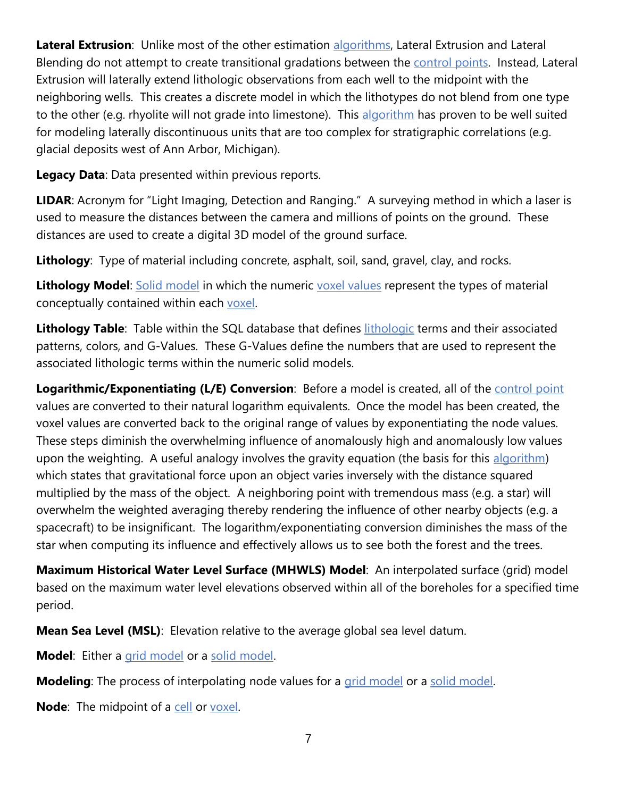<span id="page-6-0"></span>**Lateral Extrusion**: Unlike most of the other estimation [algorithms,](#page-0-1) Lateral Extrusion and Lateral Blending do not attempt to create transitional gradations between the [control points.](#page-1-2) Instead, Lateral Extrusion will laterally extend lithologic observations from each well to the midpoint with the neighboring wells. This creates a discrete model in which the lithotypes do not blend from one type to the other (e.g. rhyolite will not grade into limestone). This [algorithm](#page-0-1) has proven to be well suited for modeling laterally discontinuous units that are too complex for stratigraphic correlations (e.g. glacial deposits west of Ann Arbor, Michigan).

**Legacy Data**: Data presented within previous reports.

**LIDAR**: Acronym for "Light Imaging, Detection and Ranging." A surveying method in which a laser is used to measure the distances between the camera and millions of points on the ground. These distances are used to create a digital 3D model of the ground surface.

<span id="page-6-1"></span>**Lithology**: Type of material including concrete, asphalt, soil, sand, gravel, clay, and rocks.

**Lithology Model:** [Solid model](#page-8-0) in which the numeric [voxel values](#page-9-1) represent the types of material conceptually contained within each [voxel.](#page-8-1)

**Lithology Table**: Table within the SQL database that defines [lithologic](#page-6-1) terms and their associated patterns, colors, and G-Values. These G-Values define the numbers that are used to represent the associated lithologic terms within the numeric solid models.

**Logarithmic/Exponentiating (L/E) Conversion**: Before a model is created, all of the [control point](#page-1-2) values are converted to their natural logarithm equivalents. Once the model has been created, the voxel values are converted back to the original range of values by exponentiating the node values. These steps diminish the overwhelming influence of anomalously high and anomalously low values upon the weighting. A useful analogy involves the gravity equation (the basis for this [algorithm\)](#page-0-1) which states that gravitational force upon an object varies inversely with the distance squared multiplied by the mass of the object. A neighboring point with tremendous mass (e.g. a star) will overwhelm the weighted averaging thereby rendering the influence of other nearby objects (e.g. a spacecraft) to be insignificant. The logarithm/exponentiating conversion diminishes the mass of the star when computing its influence and effectively allows us to see both the forest and the trees.

<span id="page-6-3"></span>**Maximum Historical Water Level Surface (MHWLS) Model**: An interpolated surface (grid) model based on the maximum water level elevations observed within all of the boreholes for a specified time period.

**Mean Sea Level (MSL)**: Elevation relative to the average global sea level datum.

**Model**: Either a [grid model](#page-1-1) or a [solid model.](#page-8-0)

<span id="page-6-2"></span>**Modeling**: The process of interpolating node values for a [grid model](#page-1-1) or a solid [model.](#page-8-0)

**Node:** The midpoint of a [cell](#page-0-2) or [voxel.](#page-8-1)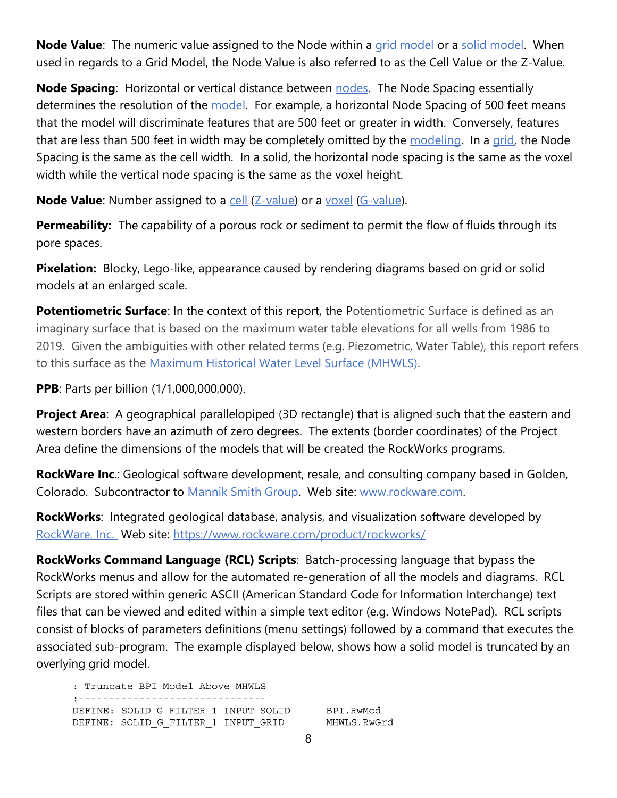<span id="page-7-1"></span>**Node Value**: The numeric value assigned to the Node within a [grid model](#page-1-1) or a [solid model.](#page-8-0) When used in regards to a Grid Model, the Node Value is also referred to as the Cell Value or the Z-Value.

**Node Spacing**: Horizontal or vertical distance between [nodes.](#page-6-0) The Node Spacing essentially determines the resolution of the [model.](#page-2-0) For example, a horizontal Node Spacing of 500 feet means that the model will discriminate features that are 500 feet or greater in width. Conversely, features that are less than 500 feet in width may be completely omitted by the [modeling.](#page-6-2) In a [grid,](#page-1-0) the Node Spacing is the same as the cell width. In a solid, the horizontal node spacing is the same as the voxel width while the vertical node spacing is the same as the voxel height.

**Node Value**: Number assigned to a [cell](#page-0-2) [\(Z-value\)](#page-9-0) or a [voxel](#page-8-1) [\(G-value\)](#page-1-4).

<span id="page-7-0"></span>**Permeability:** The capability of a porous rock or sediment to permit the flow of fluids through its pore spaces.

**Pixelation:** Blocky, Lego-like, appearance caused by rendering diagrams based on grid or solid models at an enlarged scale.

**Potentiometric Surface**: In the context of this report, the Potentiometric Surface is defined as an imaginary surface that is based on the maximum water table elevations for all wells from 1986 to 2019. Given the ambiguities with other related terms (e.g. Piezometric, Water Table), this report refers to this surface as the [Maximum Historical Water Level Surface \(MHWLS\).](#page-6-3)

**PPB**: Parts per billion (1/1,000,000,000).

**Project Area:** A geographical parallelopiped (3D rectangle) that is aligned such that the eastern and western borders have an azimuth of zero degrees. The extents (border coordinates) of the Project Area define the dimensions of the models that will be created the RockWorks programs.

**RockWare Inc**.: Geological software development, resale, and consulting company based in Golden, Colorado. Subcontractor to [Mannik Smith Group.](#page-2-0) Web site: [www.rockware.com.](http://www.rockware.com/)

**RockWorks**: Integrated geological database, analysis, and visualization software developed by [RockWare, Inc.](#page-7-0) Web site:<https://www.rockware.com/product/rockworks/>

**RockWorks Command Language (RCL) Scripts**: Batch-processing language that bypass the RockWorks menus and allow for the automated re-generation of all the models and diagrams. RCL Scripts are stored within generic ASCII (American Standard Code for Information Interchange) text files that can be viewed and edited within a simple text editor (e.g. Windows NotePad). RCL scripts consist of blocks of parameters definitions (menu settings) followed by a command that executes the associated sub-program. The example displayed below, shows how a solid model is truncated by an overlying grid model.

: Truncate BPI Model Above MHWLS :--------------------------------DEFINE: SOLID G FILTER 1 INPUT SOLID DEFINE: SOLID G FILTER 1 INPUT GRID

BPI.RwMod MHWLS.RwGrd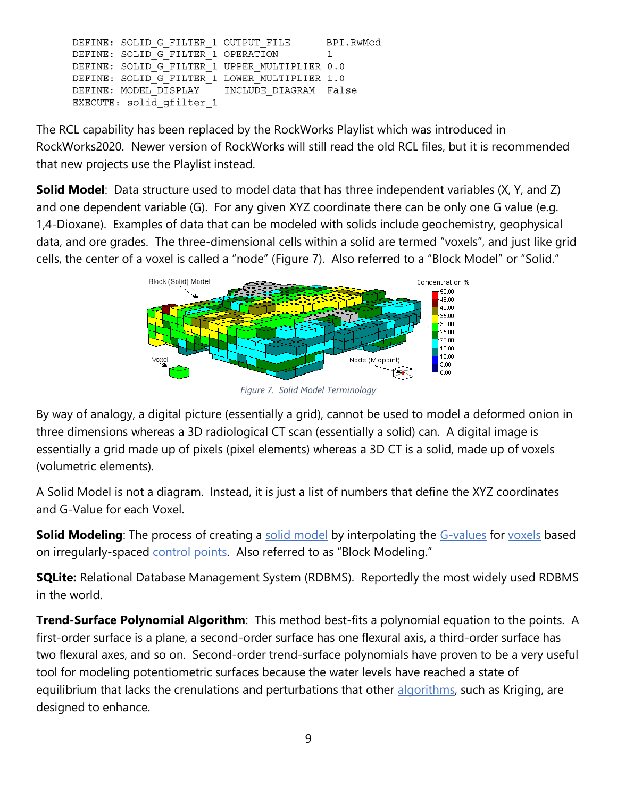```
DEFINE: SOLID G FILTER 1 OUTPUT FILE
                                           BPI.RwMod
DEFINE: SOLID G FILTER 1 OPERATION
                                           \mathbf{1}DEFINE: SOLID G FILTER 1 UPPER MULTIPLIER 0.0
DEFINE: SOLID_G_FILTER_1 LOWER_MULTIPLIER 1.0
DEFINE: MODEL DISPLAY
                          INCLUDE DIAGRAM False
EXECUTE: solid gfilter 1
```
<span id="page-8-0"></span>The RCL capability has been replaced by the RockWorks Playlist which was introduced in RockWorks2020. Newer version of RockWorks will still read the old RCL files, but it is recommended that new projects use the Playlist instead.

**Solid Model**: Data structure used to model data that has three independent variables (X, Y, and Z) and one dependent variable (G). For any given XYZ coordinate there can be only one G value (e.g. 1,4-Dioxane). Examples of data that can be modeled with solids include geochemistry, geophysical data, and ore grades. The three-dimensional cells within a solid are termed "voxels", and just like grid cells, the center of a voxel is called a "node" ([Figure 7\)](#page-8-2). Also referred to a "Block Model" or "Solid."



*Figure 7. Solid Model Terminology*

<span id="page-8-2"></span>By way of analogy, a digital picture (essentially a grid), cannot be used to model a deformed onion in three dimensions whereas a 3D radiological CT scan (essentially a solid) can. A digital image is essentially a grid made up of pixels (pixel elements) whereas a 3D CT is a solid, made up of voxels (volumetric elements).

A Solid Model is not a diagram. Instead, it is just a list of numbers that define the XYZ coordinates and G-Value for each Voxel.

**Solid Modeling**: The process of creating a [solid model](#page-8-0) by interpolating the [G-values](#page-1-4) for [voxels](#page-8-1) based on irregularly-spaced [control points.](#page-1-2) Also referred to as "Block Modeling."

**SQLite:** Relational Database Management System (RDBMS). Reportedly the most widely used RDBMS in the world.

**Trend-Surface Polynomial Algorithm**: This method best-fits a polynomial equation to the points. A first-order surface is a plane, a second-order surface has one flexural axis, a third-order surface has two flexural axes, and so on. Second-order trend-surface polynomials have proven to be a very useful tool for modeling potentiometric surfaces because the water levels have reached a state of equilibrium that lacks the crenulations and perturbations that other [algorithms,](#page-0-1) such as Kriging, are designed to enhance.